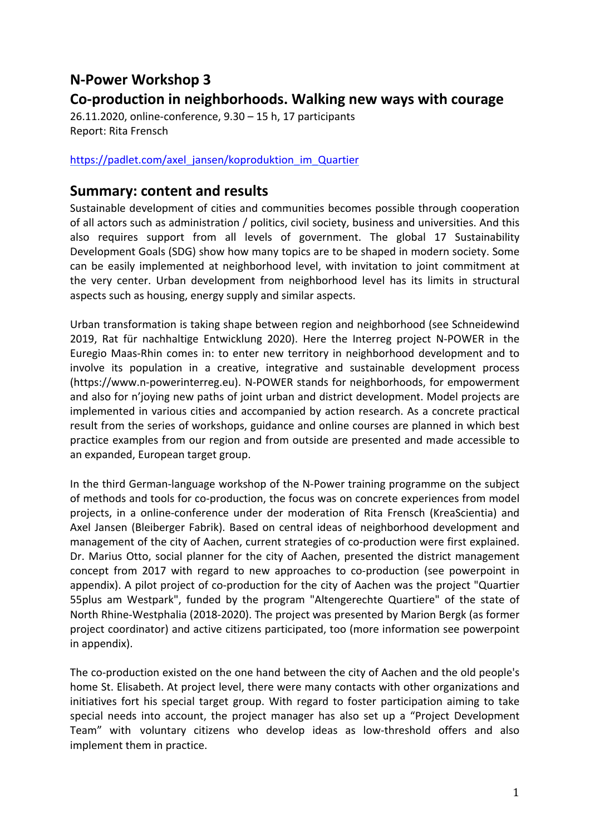## **N-Power Workshop 3**

## **Co-production in neighborhoods. Walking new ways with courage**

26.11.2020, online-conference, 9.30 – 15 h, 17 participants Report: Rita Frensch

## https://padlet.com/axel\_jansen/koproduktion\_im\_Quartier

## **Summary: content and results**

Sustainable development of cities and communities becomes possible through cooperation of all actors such as administration / politics, civil society, business and universities. And this also requires support from all levels of government. The global 17 Sustainability Development Goals (SDG) show how many topics are to be shaped in modern society. Some can be easily implemented at neighborhood level, with invitation to joint commitment at the very center. Urban development from neighborhood level has its limits in structural aspects such as housing, energy supply and similar aspects.

Urban transformation is taking shape between region and neighborhood (see Schneidewind 2019, Rat für nachhaltige Entwicklung 2020). Here the Interreg project N-POWER in the Euregio Maas-Rhin comes in: to enter new territory in neighborhood development and to involve its population in a creative, integrative and sustainable development process (https://www.n-powerinterreg.eu). N-POWER stands for neighborhoods, for empowerment and also for n'joying new paths of joint urban and district development. Model projects are implemented in various cities and accompanied by action research. As a concrete practical result from the series of workshops, guidance and online courses are planned in which best practice examples from our region and from outside are presented and made accessible to an expanded, European target group.

In the third German-language workshop of the N-Power training programme on the subject of methods and tools for co-production, the focus was on concrete experiences from model projects, in a online-conference under der moderation of Rita Frensch (KreaScientia) and Axel Jansen (Bleiberger Fabrik). Based on central ideas of neighborhood development and management of the city of Aachen, current strategies of co-production were first explained. Dr. Marius Otto, social planner for the city of Aachen, presented the district management concept from 2017 with regard to new approaches to co-production (see powerpoint in appendix). A pilot project of co-production for the city of Aachen was the project "Quartier 55plus am Westpark", funded by the program "Altengerechte Quartiere" of the state of North Rhine-Westphalia (2018-2020). The project was presented by Marion Bergk (as former project coordinator) and active citizens participated, too (more information see powerpoint in appendix).

The co-production existed on the one hand between the city of Aachen and the old people's home St. Elisabeth. At project level, there were many contacts with other organizations and initiatives fort his special target group. With regard to foster participation aiming to take special needs into account, the project manager has also set up a "Project Development Team" with voluntary citizens who develop ideas as low-threshold offers and also implement them in practice.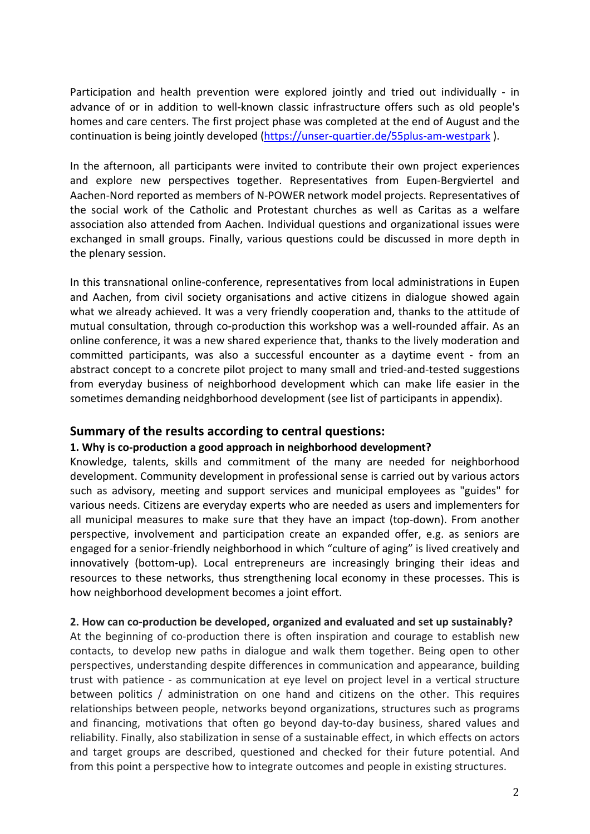Participation and health prevention were explored jointly and tried out individually - in advance of or in addition to well-known classic infrastructure offers such as old people's homes and care centers. The first project phase was completed at the end of August and the continuation is being jointly developed (https://unser-quartier.de/55plus-am-westpark ).

In the afternoon, all participants were invited to contribute their own project experiences and explore new perspectives together. Representatives from Eupen-Bergviertel and Aachen-Nord reported as members of N-POWER network model projects. Representatives of the social work of the Catholic and Protestant churches as well as Caritas as a welfare association also attended from Aachen. Individual questions and organizational issues were exchanged in small groups. Finally, various questions could be discussed in more depth in the plenary session.

In this transnational online-conference, representatives from local administrations in Eupen and Aachen, from civil society organisations and active citizens in dialogue showed again what we already achieved. It was a very friendly cooperation and, thanks to the attitude of mutual consultation, through co-production this workshop was a well-rounded affair. As an online conference, it was a new shared experience that, thanks to the lively moderation and committed participants, was also a successful encounter as a daytime event - from an abstract concept to a concrete pilot project to many small and tried-and-tested suggestions from everyday business of neighborhood development which can make life easier in the sometimes demanding neidghborhood development (see list of participants in appendix).

## **Summary of the results according to central questions:**

#### **1. Why is co-production a good approach in neighborhood development?**

Knowledge, talents, skills and commitment of the many are needed for neighborhood development. Community development in professional sense is carried out by various actors such as advisory, meeting and support services and municipal employees as "guides" for various needs. Citizens are everyday experts who are needed as users and implementers for all municipal measures to make sure that they have an impact (top-down). From another perspective, involvement and participation create an expanded offer, e.g. as seniors are engaged for a senior-friendly neighborhood in which "culture of aging" is lived creatively and innovatively (bottom-up). Local entrepreneurs are increasingly bringing their ideas and resources to these networks, thus strengthening local economy in these processes. This is how neighborhood development becomes a joint effort.

#### **2. How can co-production be developed, organized and evaluated and set up sustainably?**

At the beginning of co-production there is often inspiration and courage to establish new contacts, to develop new paths in dialogue and walk them together. Being open to other perspectives, understanding despite differences in communication and appearance, building trust with patience - as communication at eye level on project level in a vertical structure between politics / administration on one hand and citizens on the other. This requires relationships between people, networks beyond organizations, structures such as programs and financing, motivations that often go beyond day-to-day business, shared values and reliability. Finally, also stabilization in sense of a sustainable effect, in which effects on actors and target groups are described, questioned and checked for their future potential. And from this point a perspective how to integrate outcomes and people in existing structures.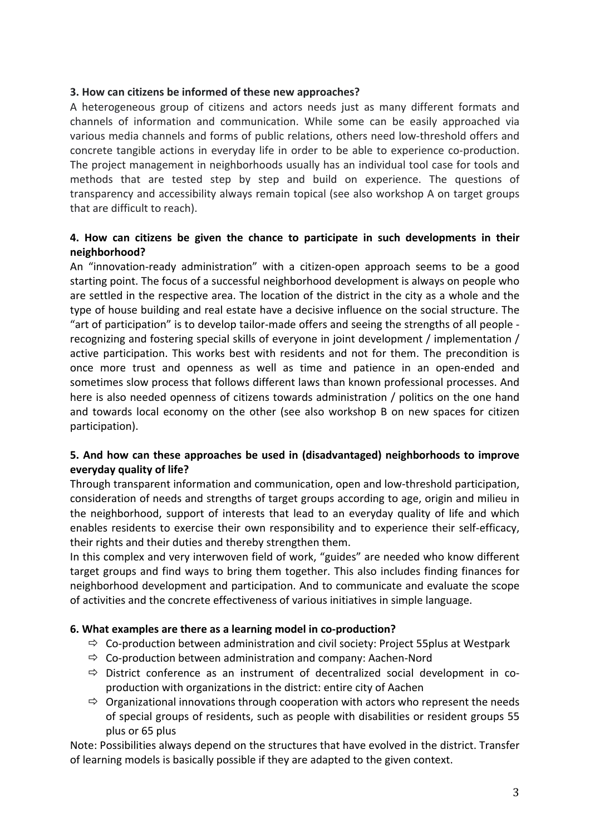### **3. How can citizens be informed of these new approaches?**

A heterogeneous group of citizens and actors needs just as many different formats and channels of information and communication. While some can be easily approached via various media channels and forms of public relations, others need low-threshold offers and concrete tangible actions in everyday life in order to be able to experience co-production. The project management in neighborhoods usually has an individual tool case for tools and methods that are tested step by step and build on experience. The questions of transparency and accessibility always remain topical (see also workshop A on target groups that are difficult to reach).

## **4. How can citizens be given the chance to participate in such developments in their neighborhood?**

An "innovation-ready administration" with a citizen-open approach seems to be a good starting point. The focus of a successful neighborhood development is always on people who are settled in the respective area. The location of the district in the city as a whole and the type of house building and real estate have a decisive influence on the social structure. The "art of participation" is to develop tailor-made offers and seeing the strengths of all people recognizing and fostering special skills of everyone in joint development / implementation / active participation. This works best with residents and not for them. The precondition is once more trust and openness as well as time and patience in an open-ended and sometimes slow process that follows different laws than known professional processes. And here is also needed openness of citizens towards administration / politics on the one hand and towards local economy on the other (see also workshop B on new spaces for citizen participation).

## **5. And how can these approaches be used in (disadvantaged) neighborhoods to improve everyday quality of life?**

Through transparent information and communication, open and low-threshold participation, consideration of needs and strengths of target groups according to age, origin and milieu in the neighborhood, support of interests that lead to an everyday quality of life and which enables residents to exercise their own responsibility and to experience their self-efficacy, their rights and their duties and thereby strengthen them.

In this complex and very interwoven field of work, "guides" are needed who know different target groups and find ways to bring them together. This also includes finding finances for neighborhood development and participation. And to communicate and evaluate the scope of activities and the concrete effectiveness of various initiatives in simple language.

#### **6. What examples are there as a learning model in co-production?**

- $\Rightarrow$  Co-production between administration and civil society: Project 55 plus at Westpark
- $\Rightarrow$  Co-production between administration and company: Aachen-Nord
- $\Rightarrow$  District conference as an instrument of decentralized social development in coproduction with organizations in the district: entire city of Aachen
- $\Rightarrow$  Organizational innovations through cooperation with actors who represent the needs of special groups of residents, such as people with disabilities or resident groups 55 plus or 65 plus

Note: Possibilities always depend on the structures that have evolved in the district. Transfer of learning models is basically possible if they are adapted to the given context.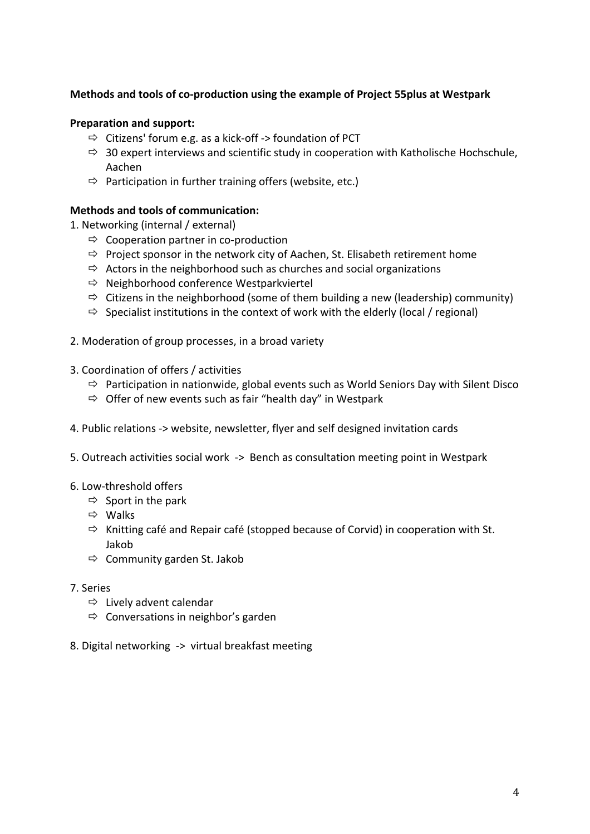## **Methods and tools of co-production using the example of Project 55plus at Westpark**

#### **Preparation and support:**

- $\Rightarrow$  Citizens' forum e.g. as a kick-off -> foundation of PCT
- $\Rightarrow$  30 expert interviews and scientific study in cooperation with Katholische Hochschule, Aachen
- $\Rightarrow$  Participation in further training offers (website, etc.)

### **Methods and tools of communication:**

- 1. Networking (internal / external)
	- $\Rightarrow$  Cooperation partner in co-production
	- $\Rightarrow$  Project sponsor in the network city of Aachen, St. Elisabeth retirement home
	- $\Rightarrow$  Actors in the neighborhood such as churches and social organizations
	- $\Rightarrow$  Neighborhood conference Westparkviertel
	- $\Rightarrow$  Citizens in the neighborhood (some of them building a new (leadership) community)
	- $\Rightarrow$  Specialist institutions in the context of work with the elderly (local / regional)
- 2. Moderation of group processes, in a broad variety
- 3. Coordination of offers / activities
	- $\Rightarrow$  Participation in nationwide, global events such as World Seniors Day with Silent Disco
	- $\Rightarrow$  Offer of new events such as fair "health day" in Westpark
- 4. Public relations -> website, newsletter, flyer and self designed invitation cards
- 5. Outreach activities social work -> Bench as consultation meeting point in Westpark
- 6. Low-threshold offers
	- $\Rightarrow$  Sport in the park
	- $\Rightarrow$  Walks
	- $\Rightarrow$  Knitting café and Repair café (stopped because of Corvid) in cooperation with St. Jakob
	- $\Rightarrow$  Community garden St. Jakob
- 7. Series
	- $\Rightarrow$  Lively advent calendar
	- $\Rightarrow$  Conversations in neighbor's garden
- 8. Digital networking -> virtual breakfast meeting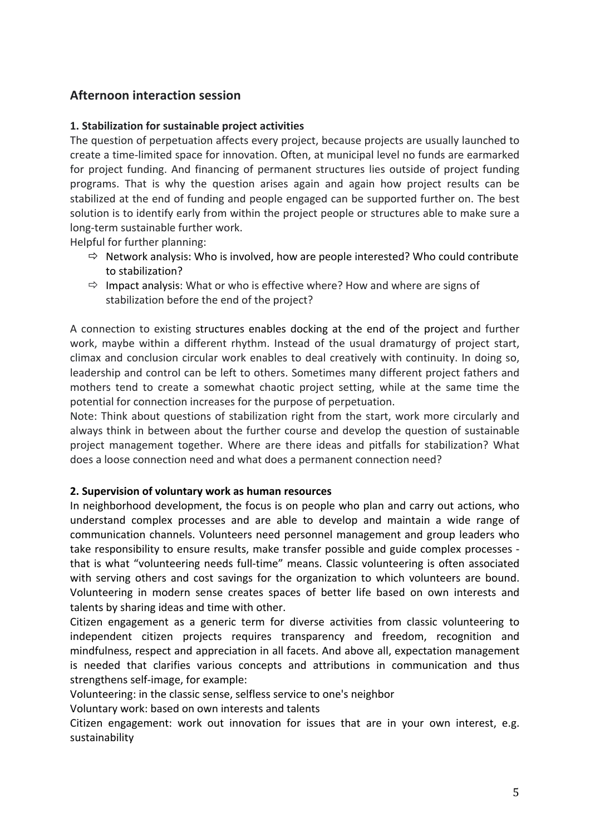## **Afternoon interaction session**

### **1. Stabilization for sustainable project activities**

The question of perpetuation affects every project, because projects are usually launched to create a time-limited space for innovation. Often, at municipal level no funds are earmarked for project funding. And financing of permanent structures lies outside of project funding programs. That is why the question arises again and again how project results can be stabilized at the end of funding and people engaged can be supported further on. The best solution is to identify early from within the project people or structures able to make sure a long-term sustainable further work.

Helpful for further planning:

- $\Rightarrow$  Network analysis: Who is involved, how are people interested? Who could contribute to stabilization?
- $\Rightarrow$  Impact analysis: What or who is effective where? How and where are signs of stabilization before the end of the project?

A connection to existing structures enables docking at the end of the project and further work, maybe within a different rhythm. Instead of the usual dramaturgy of project start, climax and conclusion circular work enables to deal creatively with continuity. In doing so, leadership and control can be left to others. Sometimes many different project fathers and mothers tend to create a somewhat chaotic project setting, while at the same time the potential for connection increases for the purpose of perpetuation.

Note: Think about questions of stabilization right from the start, work more circularly and always think in between about the further course and develop the question of sustainable project management together. Where are there ideas and pitfalls for stabilization? What does a loose connection need and what does a permanent connection need?

#### **2. Supervision of voluntary work as human resources**

In neighborhood development, the focus is on people who plan and carry out actions, who understand complex processes and are able to develop and maintain a wide range of communication channels. Volunteers need personnel management and group leaders who take responsibility to ensure results, make transfer possible and guide complex processes that is what "volunteering needs full-time" means. Classic volunteering is often associated with serving others and cost savings for the organization to which volunteers are bound. Volunteering in modern sense creates spaces of better life based on own interests and talents by sharing ideas and time with other.

Citizen engagement as a generic term for diverse activities from classic volunteering to independent citizen projects requires transparency and freedom, recognition and mindfulness, respect and appreciation in all facets. And above all, expectation management is needed that clarifies various concepts and attributions in communication and thus strengthens self-image, for example:

Volunteering: in the classic sense, selfless service to one's neighbor

Voluntary work: based on own interests and talents

Citizen engagement: work out innovation for issues that are in your own interest, e.g. sustainability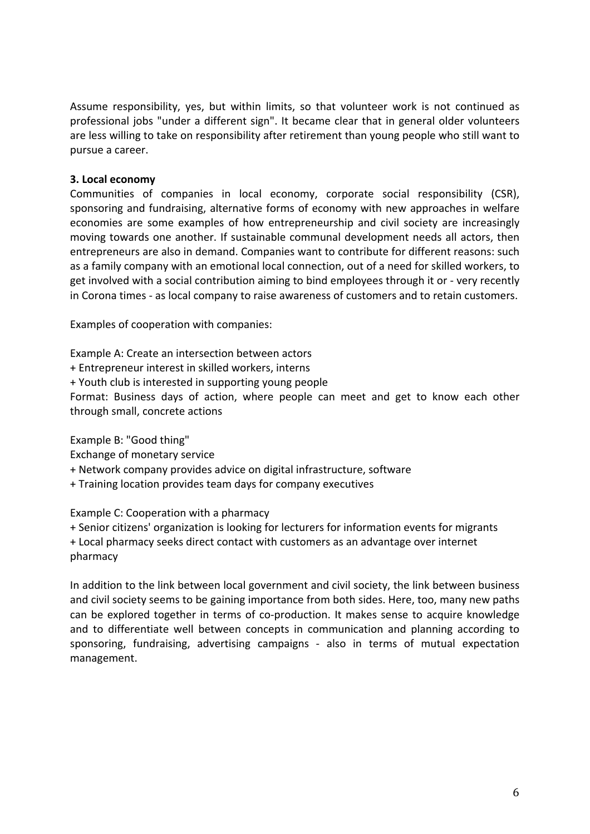Assume responsibility, yes, but within limits, so that volunteer work is not continued as professional jobs "under a different sign". It became clear that in general older volunteers are less willing to take on responsibility after retirement than young people who still want to pursue a career.

#### **3. Local economy**

Communities of companies in local economy, corporate social responsibility (CSR), sponsoring and fundraising, alternative forms of economy with new approaches in welfare economies are some examples of how entrepreneurship and civil society are increasingly moving towards one another. If sustainable communal development needs all actors, then entrepreneurs are also in demand. Companies want to contribute for different reasons: such as a family company with an emotional local connection, out of a need for skilled workers, to get involved with a social contribution aiming to bind employees through it or - very recently in Corona times - as local company to raise awareness of customers and to retain customers.

Examples of cooperation with companies:

Example A: Create an intersection between actors

+ Entrepreneur interest in skilled workers, interns

+ Youth club is interested in supporting young people

Format: Business days of action, where people can meet and get to know each other through small, concrete actions

Example B: "Good thing"

Exchange of monetary service

+ Network company provides advice on digital infrastructure, software

+ Training location provides team days for company executives

Example C: Cooperation with a pharmacy

+ Senior citizens' organization is looking for lecturers for information events for migrants + Local pharmacy seeks direct contact with customers as an advantage over internet pharmacy

In addition to the link between local government and civil society, the link between business and civil society seems to be gaining importance from both sides. Here, too, many new paths can be explored together in terms of co-production. It makes sense to acquire knowledge and to differentiate well between concepts in communication and planning according to sponsoring, fundraising, advertising campaigns - also in terms of mutual expectation management.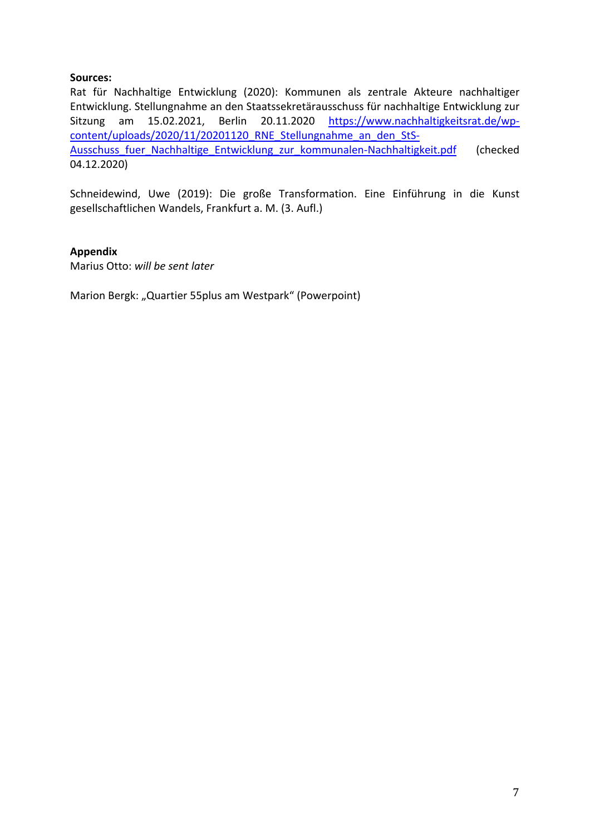### **Sources:**

Rat für Nachhaltige Entwicklung (2020): Kommunen als zentrale Akteure nachhaltiger Entwicklung. Stellungnahme an den Staatssekretärausschuss für nachhaltige Entwicklung zur Sitzung am 15.02.2021, Berlin 20.11.2020 https://www.nachhaltigkeitsrat.de/wpcontent/uploads/2020/11/20201120\_RNE\_Stellungnahme\_an\_den\_StS-Ausschuss fuer\_Nachhaltige\_Entwicklung\_zur\_kommunalen-Nachhaltigkeit.pdf (checked 04.12.2020)

Schneidewind, Uwe (2019): Die große Transformation. Eine Einführung in die Kunst gesellschaftlichen Wandels, Frankfurt a. M. (3. Aufl.)

#### **Appendix**

Marius Otto: *will be sent later*

Marion Bergk: "Quartier 55plus am Westpark" (Powerpoint)